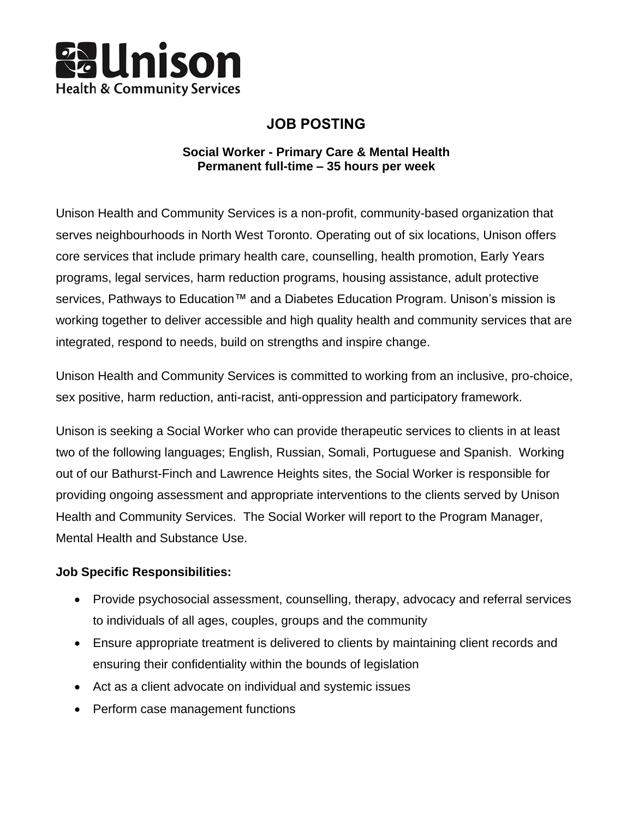

# **JOB POSTING**

# **Social Worker - Primary Care & Mental Health Permanent full-time – 35 hours per week**

Unison Health and Community Services is a non-profit, community-based organization that serves neighbourhoods in North West Toronto. Operating out of six locations, Unison offers core services that include primary health care, counselling, health promotion, Early Years programs, legal services, harm reduction programs, housing assistance, adult protective services, Pathways to Education™ and a Diabetes Education Program. Unison's mission is working together to deliver accessible and high quality health and community services that are integrated, respond to needs, build on strengths and inspire change.

Unison Health and Community Services is committed to working from an inclusive, pro-choice, sex positive, harm reduction, anti-racist, anti-oppression and participatory framework.

Unison is seeking a Social Worker who can provide therapeutic services to clients in at least two of the following languages; English, Russian, Somali, Portuguese and Spanish. Working out of our Bathurst-Finch and Lawrence Heights sites, the Social Worker is responsible for providing ongoing assessment and appropriate interventions to the clients served by Unison Health and Community Services. The Social Worker will report to the Program Manager, Mental Health and Substance Use.

# **Job Specific Responsibilities:**

- Provide psychosocial assessment, counselling, therapy, advocacy and referral services to individuals of all ages, couples, groups and the community
- Ensure appropriate treatment is delivered to clients by maintaining client records and ensuring their confidentiality within the bounds of legislation
- Act as a client advocate on individual and systemic issues
- Perform case management functions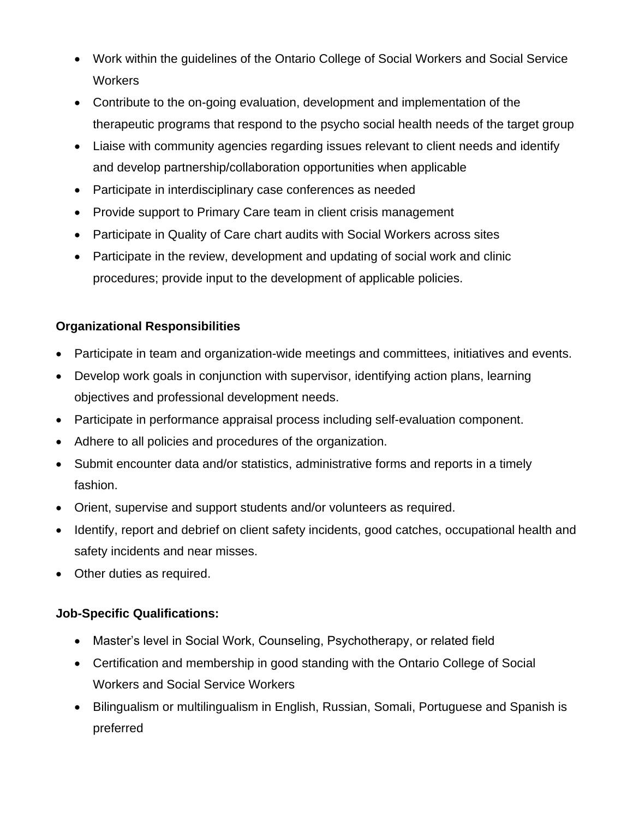- Work within the guidelines of the Ontario College of Social Workers and Social Service **Workers**
- Contribute to the on-going evaluation, development and implementation of the therapeutic programs that respond to the psycho social health needs of the target group
- Liaise with community agencies regarding issues relevant to client needs and identify and develop partnership/collaboration opportunities when applicable
- Participate in interdisciplinary case conferences as needed
- Provide support to Primary Care team in client crisis management
- Participate in Quality of Care chart audits with Social Workers across sites
- Participate in the review, development and updating of social work and clinic procedures; provide input to the development of applicable policies.

# **Organizational Responsibilities**

- Participate in team and organization-wide meetings and committees, initiatives and events.
- Develop work goals in conjunction with supervisor, identifying action plans, learning objectives and professional development needs.
- Participate in performance appraisal process including self-evaluation component.
- Adhere to all policies and procedures of the organization.
- Submit encounter data and/or statistics, administrative forms and reports in a timely fashion.
- Orient, supervise and support students and/or volunteers as required.
- Identify, report and debrief on client safety incidents, good catches, occupational health and safety incidents and near misses.
- Other duties as required.

# **Job-Specific Qualifications:**

- Master's level in Social Work, Counseling, Psychotherapy, or related field
- Certification and membership in good standing with the Ontario College of Social Workers and Social Service Workers
- Bilingualism or multilingualism in English, Russian, Somali, Portuguese and Spanish is preferred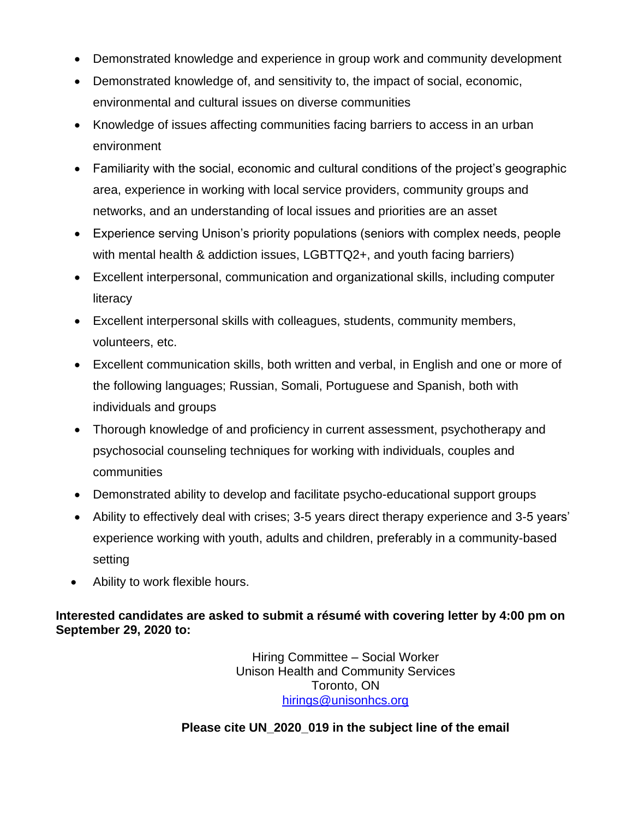- Demonstrated knowledge and experience in group work and community development
- Demonstrated knowledge of, and sensitivity to, the impact of social, economic, environmental and cultural issues on diverse communities
- Knowledge of issues affecting communities facing barriers to access in an urban environment
- Familiarity with the social, economic and cultural conditions of the project's geographic area, experience in working with local service providers, community groups and networks, and an understanding of local issues and priorities are an asset
- Experience serving Unison's priority populations (seniors with complex needs, people with mental health & addiction issues, LGBTTQ2+, and youth facing barriers)
- Excellent interpersonal, communication and organizational skills, including computer literacy
- Excellent interpersonal skills with colleagues, students, community members, volunteers, etc.
- Excellent communication skills, both written and verbal, in English and one or more of the following languages; Russian, Somali, Portuguese and Spanish, both with individuals and groups
- Thorough knowledge of and proficiency in current assessment, psychotherapy and psychosocial counseling techniques for working with individuals, couples and communities
- Demonstrated ability to develop and facilitate psycho-educational support groups
- Ability to effectively deal with crises; 3-5 years direct therapy experience and 3-5 years' experience working with youth, adults and children, preferably in a community-based setting
- Ability to work flexible hours.

# **Interested candidates are asked to submit a résumé with covering letter by 4:00 pm on September 29, 2020 to:**

Hiring Committee – Social Worker Unison Health and Community Services Toronto, ON [hirings@unisonhcs.org](mailto:hirings@unisonhcs.org)

# **Please cite UN\_2020\_019 in the subject line of the email**